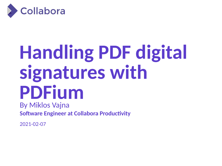

# **Handling PDF digital signatures with PDFium**

By Miklos Vajna **Software Engineer at Collabora Productivity**

2021-02-07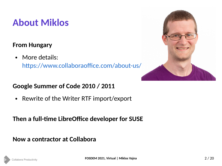### **About Miklos**

#### **From Hungary**

• More details:

<https://www.collaboraoffice.com/about-us/>

#### **Google Summer of Code 2010 / 2011**

• Rewrite of the Writer RTF import/export

#### **Then a full-time LibreOffice developer for SUSE**

#### **Now a contractor at Collabora**

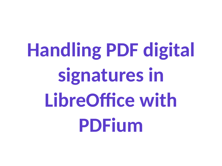**Handling PDF digital signatures in LibreOffice with PDFium**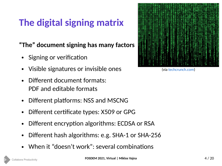# **The digital signing matrix**

### **"The" document signing has many factors**

- Signing or verification
- Visible signatures or invisible ones
- Different document formats: PDF and editable formats
- Different platforms: NSS and MSCNG
- Different certificate types: X509 or GPG
- Different encryption algorithms: ECDSA or RSA
- Different hash algorithms: e.g. SHA-1 or SHA-256
- When it "doesn't work": several combinations



(via [techcrunch.com](https://techcrunch.com/2019/03/18/how-to-build-the-matrix/))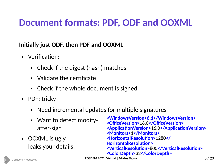### **Document formats: PDF, ODF and OOXML**

#### **Initially just ODF, then PDF and OOXML**

- Verification:
	- Check if the digest (hash) matches
	- Validate the certificate
	- Check if the whole document is signed
- PDF: tricky
	- Need incremental updates for multiple signatures
	- Want to detect modifyafter-sign
- OOXML is ugly, leaks your details:

**<WindowsVersion>6.1</WindowsVersion> <OfficeVersion>**16.0**</OfficeVersion> <ApplicationVersion>**16.0**</ApplicationVersion> <Monitors>**1**</Monitors> <HorizontalResolution>**1280**</ HorizontalResolution> <VerticalResolution>**800**</VerticalResolution> <ColorDepth>**32**</ColorDepth>**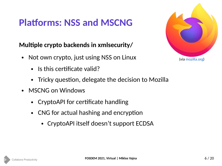### **Platforms: NSS and MSCNG**

#### **Multiple crypto backends in xmlsecurity/**

- Not own crypto, just using NSS on Linux
	- $\bullet$  Is this certificate valid?
	- Tricky question, delegate the decision to Mozilla
- MSCNG on Windows
	- CryptoAPI for certificate handling
	- CNG for actual hashing and encryption
		- CryptoAPI itself doesn't support ECDSA

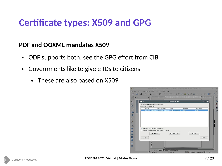### **Certificate types: X509 and GPG**

#### **PDF and OOXML mandates X509**

- ODF supports both, see the GPG effort from CIB
- Governments like to give e-IDs to citizens
	- These are also based on X509

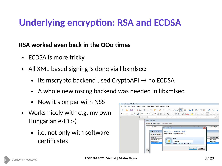### **Underlying encryption: RSA and ECDSA**

#### **RSA worked even back in the OOo times**

- ECDSA is more tricky
- All XML-based signing is done via libxmlsec:
	- Its mscrypto backend used CryptoAPI  $\rightarrow$  no ECDSA
	- A whole new mscng backend was needed in libxmlsec
	- Now it's on par with NSS
- Works nicely with e.g. my own Hungarian e-ID :-)
	- i.e. not only with software certificates



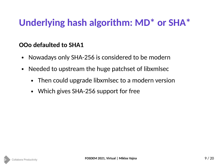### **Underlying hash algorithm: MD\* or SHA\***

#### **OOo defaulted to SHA1**

- Nowadays only SHA-256 is considered to be modern
- Needed to upstream the huge patchset of libxmlsec
	- Then could upgrade libxmlsec to a modern version
	- Which gives SHA-256 support for free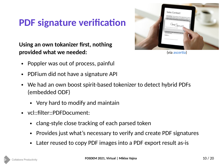### **PDF signature verification**

**Using an own tokanizer first, nothing provided what we needed:**



(via [ascertia](http://www.ascertia.com/))

- Poppler was out of process, painful
- PDFium did not have a signature API
- We had an own boost spirit-based tokenizer to detect hybrid PDFs (embedded ODF)
	- Very hard to modify and maintain
- vcl::filter::PDFDocument:
	- clang-style close tracking of each parsed token
	- Provides just what's necessary to verify and create PDF signatures
	- Later reused to copy PDF images into a PDF export result as-is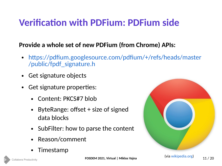# **Verification with PDFium: PDFium side**

#### **Provide a whole set of new PDFium (from Chrome) APIs:**

- [https://pdfium.googlesource.com/pdfium/+/refs/heads/master](https://pdfium.googlesource.com/pdfium/+/refs/heads/master/public/fpdf_signature.h) [/public/fpdf\\_signature.h](https://pdfium.googlesource.com/pdfium/+/refs/heads/master/public/fpdf_signature.h)
- Get signature objects
- Get signature properties:
	- Content: PKCS#7 blob
	- ByteRange: offset + size of signed data blocks
	- SubFilter: how to parse the content
	- Reason/comment
	- **Timestamp**

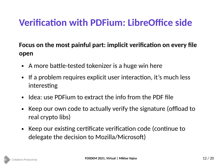### **Verification with PDFium: LibreOffice side**

### **Focus on the most painful part: implicit verification on every file open**

- A more battle-tested tokenizer is a huge win here
- If a problem requires explicit user interaction, it's much less interesting
- Idea: use PDFium to extract the info from the PDF file
- Keep our own code to actually verify the signature (offload to real crypto libs)
- Keep our existing certificate verification code (continue to delegate the decision to Mozilla/Microsoft)

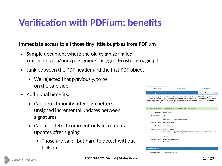### **Verification with PDFium: benefits**

#### **Immediate access to all those tiny little bugfixes from PDFium**

- Sample document where the old tokanizer failed: xmlsecurity/qa/unit/pdfsigning/data/good-custom-magic.pdf
- Junk between the PDF header and the first PDF object
	- We rejected that previously, to be on the safe side
- Additional benefits:
	- Can detect modify-after-sign better: unsigned incremental updates between signatures
	- Can also detect comment-only incremental updates after signing
		- Those are valid, but hard to detect without PDFium



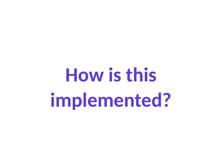**How is this implemented?**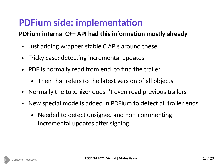### **PDFium side: implementation**

#### **PDFium internal C++ API had this information mostly already**

- Just adding wrapper stable C APIs around these
- Tricky case: detecting incremental updates
- PDF is normally read from end, to find the trailer
	- Then that refers to the latest version of all objects
- Normally the tokenizer doesn't even read previous trailers
- New special mode is added in PDFium to detect all trailer ends
	- Needed to detect unsigned and non-commenting incremental updates after signing

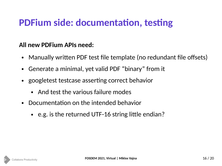### **PDFium side: documentation, testing**

#### **All new PDFium APIs need:**

- Manually written PDF test file template (no redundant file offsets)
- Generate a minimal, yet valid PDF "binary" from it
- googletest testcase asserting correct behavior
	- And test the various failure modes
- Documentation on the intended behavior
	- e.g. is the returned UTF-16 string little endian?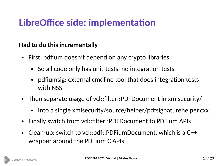### **LibreOffice side: implementation**

#### **Had to do this incrementally**

- First, pdfium doesn't depend on any crypto libraries
	- So all code only has unit-tests, no integration tests
	- pdfiumsig: external cmdline tool that does integration tests with NSS
- Then separate usage of vcl::filter::PDFDocument in xmlsecurity/
	- Into a single xmlsecurity/source/helper/pdfsignaturehelper.cxx
- Finally switch from vcl::filter::PDFDocument to PDFium APIs
- Clean-up: switch to vcl::pdf::PDFiumDocument, which is a  $C++$ wrapper around the PDFium C APIs

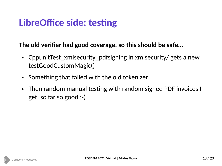### **LibreOffice side: testing**

**The old verifier had good coverage, so this should be safe...**

- CppunitTest\_xmlsecurity\_pdfsigning in xmlsecurity/ gets a new testGoodCustomMagic()
- Something that failed with the old tokenizer
- Then random manual testing with random signed PDF invoices I get, so far so good :-)

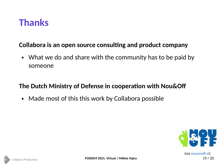

#### **Collabora is an open source consulting and product company**

• What we do and share with the community has to be paid by someone

#### **The Dutch Ministry of Defense in cooperation with Nou&Off**

• Made most of this this work by Collabora possible



(via [nouenoff.nl](https://www.nouenoff.nl/))